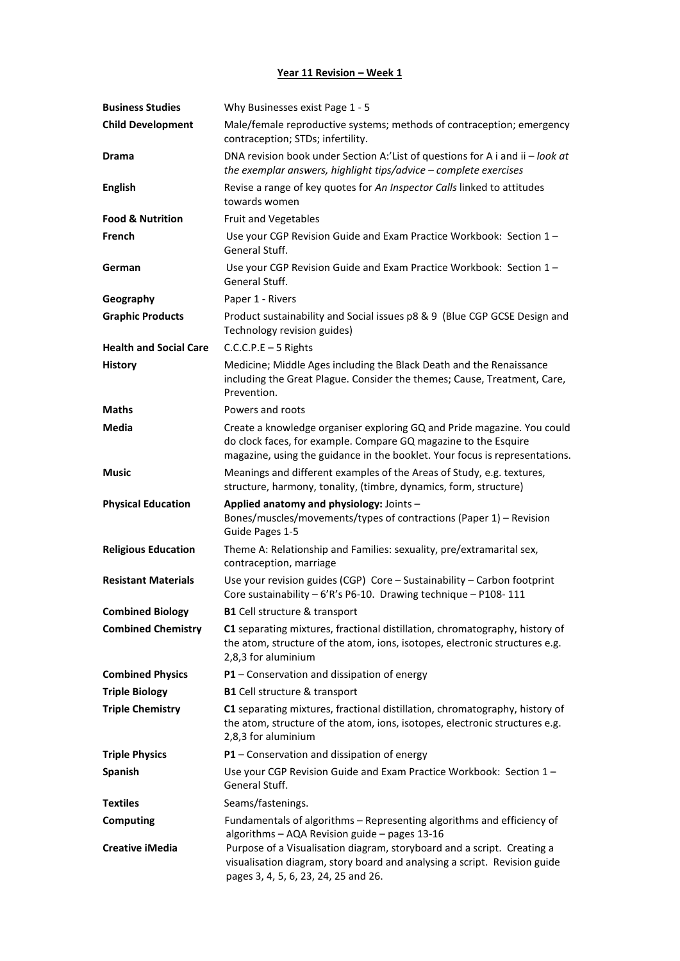| <b>Business Studies</b>                    | Why Businesses exist Page 1 - 5                                                                                                                                                                                           |
|--------------------------------------------|---------------------------------------------------------------------------------------------------------------------------------------------------------------------------------------------------------------------------|
| <b>Child Development</b>                   | Male/female reproductive systems; methods of contraception; emergency<br>contraception; STDs; infertility.                                                                                                                |
| <b>Drama</b>                               | DNA revision book under Section A:'List of questions for A i and ii $-$ look at<br>the exemplar answers, highlight tips/advice - complete exercises                                                                       |
| <b>English</b>                             | Revise a range of key quotes for An Inspector Calls linked to attitudes<br>towards women                                                                                                                                  |
| <b>Food &amp; Nutrition</b>                | <b>Fruit and Vegetables</b>                                                                                                                                                                                               |
| French                                     | Use your CGP Revision Guide and Exam Practice Workbook: Section 1 -<br>General Stuff.                                                                                                                                     |
| German                                     | Use your CGP Revision Guide and Exam Practice Workbook: Section 1 -<br>General Stuff.                                                                                                                                     |
| Geography                                  | Paper 1 - Rivers                                                                                                                                                                                                          |
| <b>Graphic Products</b>                    | Product sustainability and Social issues p8 & 9 (Blue CGP GCSE Design and<br>Technology revision guides)                                                                                                                  |
| <b>Health and Social Care</b>              | $C.C.C.P.E - 5 Rights$                                                                                                                                                                                                    |
| <b>History</b>                             | Medicine; Middle Ages including the Black Death and the Renaissance<br>including the Great Plague. Consider the themes; Cause, Treatment, Care,<br>Prevention.                                                            |
| <b>Maths</b>                               | Powers and roots                                                                                                                                                                                                          |
| <b>Media</b>                               | Create a knowledge organiser exploring GQ and Pride magazine. You could<br>do clock faces, for example. Compare GQ magazine to the Esquire<br>magazine, using the guidance in the booklet. Your focus is representations. |
| <b>Music</b>                               | Meanings and different examples of the Areas of Study, e.g. textures,<br>structure, harmony, tonality, (timbre, dynamics, form, structure)                                                                                |
|                                            |                                                                                                                                                                                                                           |
| <b>Physical Education</b>                  | Applied anatomy and physiology: Joints-<br>Bones/muscles/movements/types of contractions (Paper 1) - Revision<br>Guide Pages 1-5                                                                                          |
| <b>Religious Education</b>                 | Theme A: Relationship and Families: sexuality, pre/extramarital sex,<br>contraception, marriage                                                                                                                           |
| <b>Resistant Materials</b>                 | Use your revision guides (CGP) Core - Sustainability - Carbon footprint<br>Core sustainability - 6'R's P6-10. Drawing technique - P108-111                                                                                |
| <b>Combined Biology</b>                    | <b>B1</b> Cell structure & transport                                                                                                                                                                                      |
| <b>Combined Chemistry</b>                  | C1 separating mixtures, fractional distillation, chromatography, history of<br>the atom, structure of the atom, ions, isotopes, electronic structures e.g.<br>2,8,3 for aluminium                                         |
| <b>Combined Physics</b>                    | $P1$ – Conservation and dissipation of energy                                                                                                                                                                             |
| <b>Triple Biology</b>                      | <b>B1</b> Cell structure & transport                                                                                                                                                                                      |
| <b>Triple Chemistry</b>                    | C1 separating mixtures, fractional distillation, chromatography, history of<br>the atom, structure of the atom, ions, isotopes, electronic structures e.g.<br>2,8,3 for aluminium                                         |
| <b>Triple Physics</b>                      | $P1$ – Conservation and dissipation of energy                                                                                                                                                                             |
| Spanish                                    | Use your CGP Revision Guide and Exam Practice Workbook: Section 1 -<br>General Stuff.                                                                                                                                     |
| <b>Textiles</b>                            | Seams/fastenings.                                                                                                                                                                                                         |
| <b>Computing</b><br><b>Creative iMedia</b> | Fundamentals of algorithms - Representing algorithms and efficiency of<br>algorithms - AQA Revision guide - pages 13-16<br>Purpose of a Visualisation diagram, storyboard and a script. Creating a                        |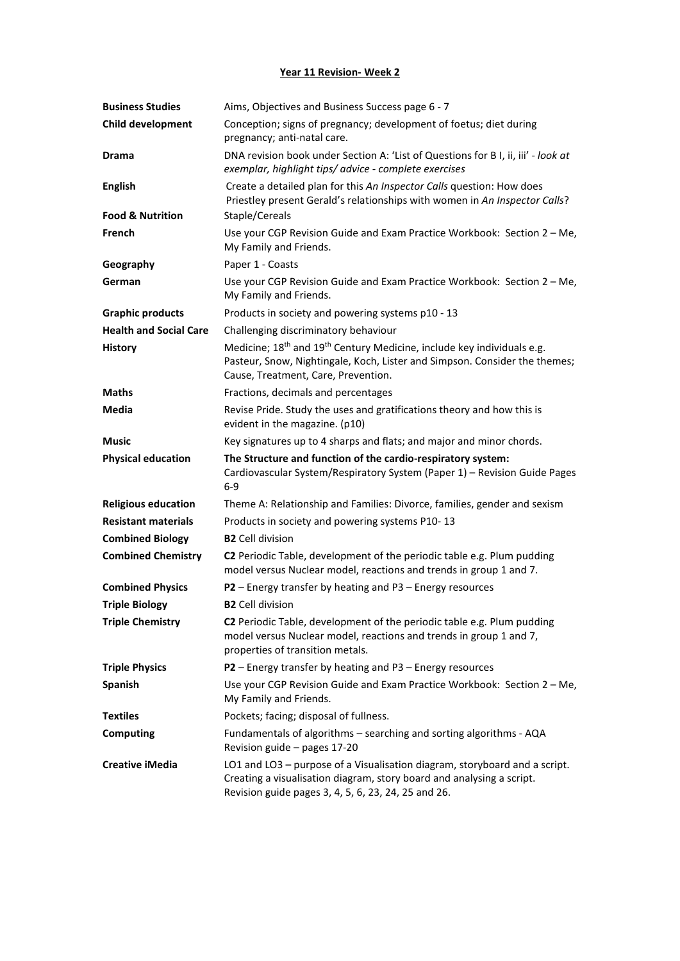| <b>Business Studies</b>       | Aims, Objectives and Business Success page 6 - 7                                                                                                                                                                    |
|-------------------------------|---------------------------------------------------------------------------------------------------------------------------------------------------------------------------------------------------------------------|
| <b>Child development</b>      | Conception; signs of pregnancy; development of foetus; diet during<br>pregnancy; anti-natal care.                                                                                                                   |
| <b>Drama</b>                  | DNA revision book under Section A: 'List of Questions for B I, ii, iii' - look at<br>exemplar, highlight tips/ advice - complete exercises                                                                          |
| <b>English</b>                | Create a detailed plan for this An Inspector Calls question: How does<br>Priestley present Gerald's relationships with women in An Inspector Calls?                                                                 |
| <b>Food &amp; Nutrition</b>   | Staple/Cereals                                                                                                                                                                                                      |
| French                        | Use your CGP Revision Guide and Exam Practice Workbook: Section 2 - Me,<br>My Family and Friends.                                                                                                                   |
| Geography                     | Paper 1 - Coasts                                                                                                                                                                                                    |
| German                        | Use your CGP Revision Guide and Exam Practice Workbook: Section 2 - Me,<br>My Family and Friends.                                                                                                                   |
| <b>Graphic products</b>       | Products in society and powering systems p10 - 13                                                                                                                                                                   |
| <b>Health and Social Care</b> | Challenging discriminatory behaviour                                                                                                                                                                                |
| <b>History</b>                | Medicine; 18 <sup>th</sup> and 19 <sup>th</sup> Century Medicine, include key individuals e.g.<br>Pasteur, Snow, Nightingale, Koch, Lister and Simpson. Consider the themes;<br>Cause, Treatment, Care, Prevention. |
| <b>Maths</b>                  | Fractions, decimals and percentages                                                                                                                                                                                 |
| Media                         | Revise Pride. Study the uses and gratifications theory and how this is<br>evident in the magazine. (p10)                                                                                                            |
| <b>Music</b>                  | Key signatures up to 4 sharps and flats; and major and minor chords.                                                                                                                                                |
| <b>Physical education</b>     | The Structure and function of the cardio-respiratory system:                                                                                                                                                        |
|                               | Cardiovascular System/Respiratory System (Paper 1) - Revision Guide Pages<br>$6-9$                                                                                                                                  |
| <b>Religious education</b>    | Theme A: Relationship and Families: Divorce, families, gender and sexism                                                                                                                                            |
| <b>Resistant materials</b>    | Products in society and powering systems P10-13                                                                                                                                                                     |
| <b>Combined Biology</b>       | <b>B2 Cell division</b>                                                                                                                                                                                             |
| <b>Combined Chemistry</b>     | C2 Periodic Table, development of the periodic table e.g. Plum pudding<br>model versus Nuclear model, reactions and trends in group 1 and 7.                                                                        |
| <b>Combined Physics</b>       | <b>P2</b> – Energy transfer by heating and $P3$ – Energy resources                                                                                                                                                  |
| <b>Triple Biology</b>         | <b>B2 Cell division</b>                                                                                                                                                                                             |
| <b>Triple Chemistry</b>       | C2 Periodic Table, development of the periodic table e.g. Plum pudding<br>model versus Nuclear model, reactions and trends in group 1 and 7,<br>properties of transition metals.                                    |
| <b>Triple Physics</b>         | <b>P2</b> – Energy transfer by heating and P3 – Energy resources                                                                                                                                                    |
| Spanish                       | Use your CGP Revision Guide and Exam Practice Workbook: Section 2 - Me,<br>My Family and Friends.                                                                                                                   |
| <b>Textiles</b>               | Pockets; facing; disposal of fullness.                                                                                                                                                                              |
| <b>Computing</b>              | Fundamentals of algorithms - searching and sorting algorithms - AQA<br>Revision guide - pages 17-20                                                                                                                 |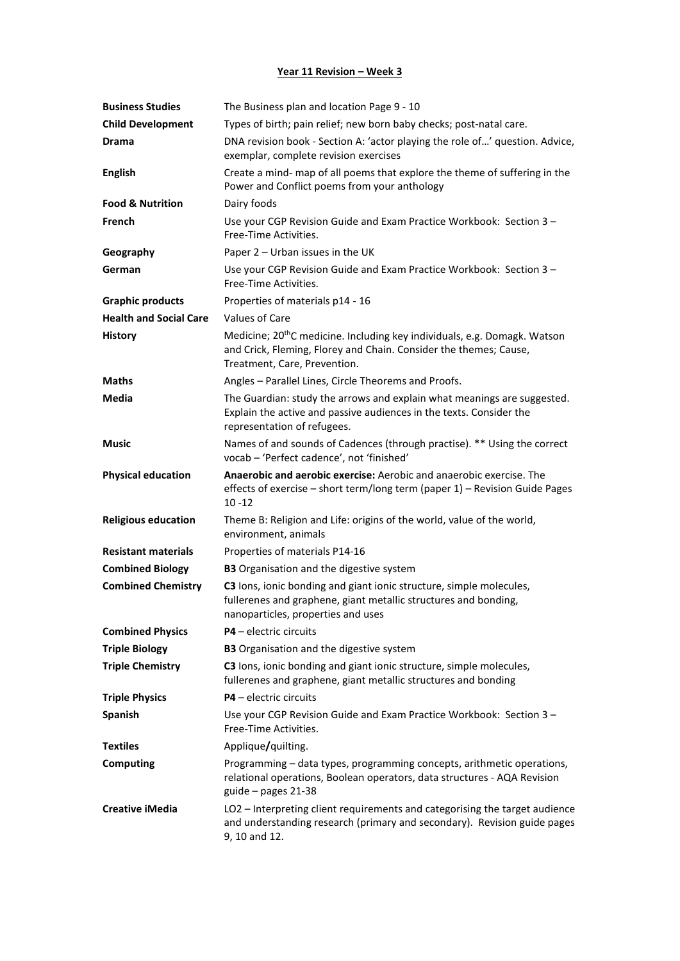| <b>Business Studies</b>       | The Business plan and location Page 9 - 10                                                                                                                                                 |
|-------------------------------|--------------------------------------------------------------------------------------------------------------------------------------------------------------------------------------------|
| <b>Child Development</b>      | Types of birth; pain relief; new born baby checks; post-natal care.                                                                                                                        |
| <b>Drama</b>                  | DNA revision book - Section A: 'actor playing the role of' question. Advice,<br>exemplar, complete revision exercises                                                                      |
| <b>English</b>                | Create a mind- map of all poems that explore the theme of suffering in the<br>Power and Conflict poems from your anthology                                                                 |
| <b>Food &amp; Nutrition</b>   | Dairy foods                                                                                                                                                                                |
| French                        | Use your CGP Revision Guide and Exam Practice Workbook: Section 3 -<br>Free-Time Activities.                                                                                               |
| Geography                     | Paper 2 - Urban issues in the UK                                                                                                                                                           |
| German                        | Use your CGP Revision Guide and Exam Practice Workbook: Section 3 -<br>Free-Time Activities.                                                                                               |
| <b>Graphic products</b>       | Properties of materials p14 - 16                                                                                                                                                           |
| <b>Health and Social Care</b> | Values of Care                                                                                                                                                                             |
| <b>History</b>                | Medicine; 20 <sup>th</sup> C medicine. Including key individuals, e.g. Domagk. Watson<br>and Crick, Fleming, Florey and Chain. Consider the themes; Cause,<br>Treatment, Care, Prevention. |
| <b>Maths</b>                  | Angles - Parallel Lines, Circle Theorems and Proofs.                                                                                                                                       |
| Media                         | The Guardian: study the arrows and explain what meanings are suggested.<br>Explain the active and passive audiences in the texts. Consider the<br>representation of refugees.              |
| <b>Music</b>                  | Names of and sounds of Cadences (through practise). ** Using the correct<br>vocab - 'Perfect cadence', not 'finished'                                                                      |
| <b>Physical education</b>     | Anaerobic and aerobic exercise: Aerobic and anaerobic exercise. The<br>effects of exercise - short term/long term (paper 1) - Revision Guide Pages<br>$10 - 12$                            |
| <b>Religious education</b>    | Theme B: Religion and Life: origins of the world, value of the world,<br>environment, animals                                                                                              |
| <b>Resistant materials</b>    | Properties of materials P14-16                                                                                                                                                             |
| <b>Combined Biology</b>       | <b>B3</b> Organisation and the digestive system                                                                                                                                            |
| <b>Combined Chemistry</b>     | C3 lons, ionic bonding and giant ionic structure, simple molecules,<br>fullerenes and graphene, giant metallic structures and bonding,<br>nanoparticles, properties and uses               |
| <b>Combined Physics</b>       | P4 - electric circuits                                                                                                                                                                     |
| <b>Triple Biology</b>         | <b>B3</b> Organisation and the digestive system                                                                                                                                            |
| <b>Triple Chemistry</b>       | C3 lons, ionic bonding and giant ionic structure, simple molecules,<br>fullerenes and graphene, giant metallic structures and bonding                                                      |
| <b>Triple Physics</b>         | $P4$ – electric circuits                                                                                                                                                                   |
| Spanish                       | Use your CGP Revision Guide and Exam Practice Workbook: Section 3 -<br>Free-Time Activities.                                                                                               |
| <b>Textiles</b>               | Applique/quilting.                                                                                                                                                                         |
| <b>Computing</b>              | Programming - data types, programming concepts, arithmetic operations,<br>relational operations, Boolean operators, data structures - AQA Revision<br>guide $-$ pages 21-38                |
| <b>Creative iMedia</b>        | LO2 - Interpreting client requirements and categorising the target audience<br>and understanding research (primary and secondary). Revision guide pages<br>9, 10 and 12.                   |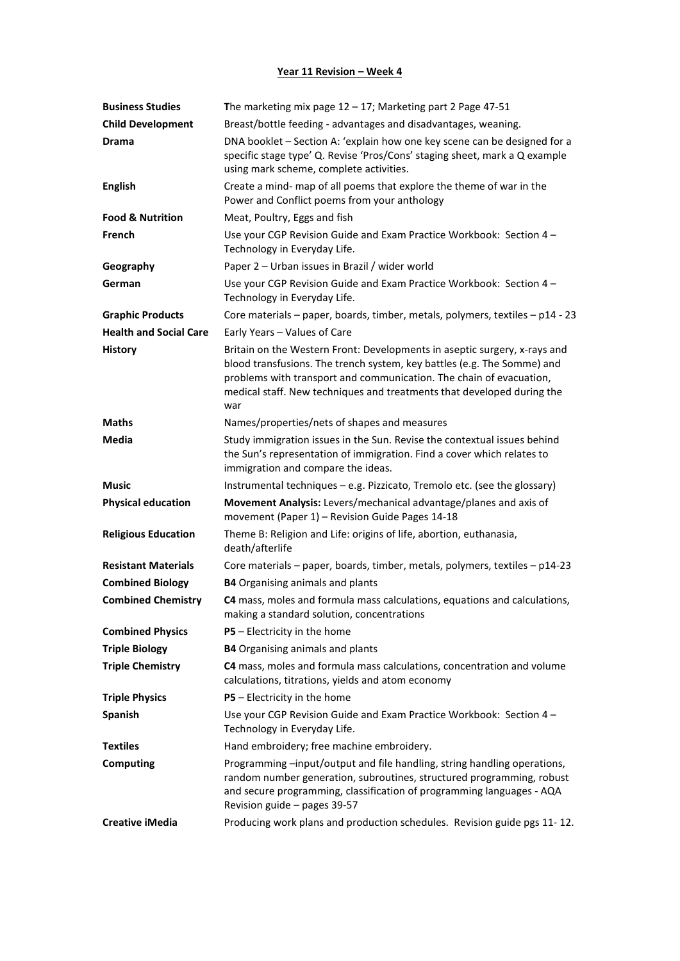| <b>Business Studies</b>       | The marketing mix page $12 - 17$ ; Marketing part 2 Page 47-51                                                                                                                                                                                                                                               |
|-------------------------------|--------------------------------------------------------------------------------------------------------------------------------------------------------------------------------------------------------------------------------------------------------------------------------------------------------------|
| <b>Child Development</b>      | Breast/bottle feeding - advantages and disadvantages, weaning.                                                                                                                                                                                                                                               |
| <b>Drama</b>                  | DNA booklet - Section A: 'explain how one key scene can be designed for a<br>specific stage type' Q. Revise 'Pros/Cons' staging sheet, mark a Q example<br>using mark scheme, complete activities.                                                                                                           |
| <b>English</b>                | Create a mind- map of all poems that explore the theme of war in the<br>Power and Conflict poems from your anthology                                                                                                                                                                                         |
| <b>Food &amp; Nutrition</b>   | Meat, Poultry, Eggs and fish                                                                                                                                                                                                                                                                                 |
| French                        | Use your CGP Revision Guide and Exam Practice Workbook: Section 4 -<br>Technology in Everyday Life.                                                                                                                                                                                                          |
| Geography                     | Paper 2 – Urban issues in Brazil / wider world                                                                                                                                                                                                                                                               |
| German                        | Use your CGP Revision Guide and Exam Practice Workbook: Section 4 -<br>Technology in Everyday Life.                                                                                                                                                                                                          |
| <b>Graphic Products</b>       | Core materials - paper, boards, timber, metals, polymers, textiles - p14 - 23                                                                                                                                                                                                                                |
| <b>Health and Social Care</b> | Early Years - Values of Care                                                                                                                                                                                                                                                                                 |
| <b>History</b>                | Britain on the Western Front: Developments in aseptic surgery, x-rays and<br>blood transfusions. The trench system, key battles (e.g. The Somme) and<br>problems with transport and communication. The chain of evacuation,<br>medical staff. New techniques and treatments that developed during the<br>war |
| <b>Maths</b>                  | Names/properties/nets of shapes and measures                                                                                                                                                                                                                                                                 |
| <b>Media</b>                  | Study immigration issues in the Sun. Revise the contextual issues behind<br>the Sun's representation of immigration. Find a cover which relates to<br>immigration and compare the ideas.                                                                                                                     |
| <b>Music</b>                  | Instrumental techniques - e.g. Pizzicato, Tremolo etc. (see the glossary)                                                                                                                                                                                                                                    |
| <b>Physical education</b>     | Movement Analysis: Levers/mechanical advantage/planes and axis of<br>movement (Paper 1) - Revision Guide Pages 14-18                                                                                                                                                                                         |
| <b>Religious Education</b>    | Theme B: Religion and Life: origins of life, abortion, euthanasia,<br>death/afterlife                                                                                                                                                                                                                        |
| <b>Resistant Materials</b>    | Core materials - paper, boards, timber, metals, polymers, textiles - p14-23                                                                                                                                                                                                                                  |
| <b>Combined Biology</b>       | <b>B4</b> Organising animals and plants                                                                                                                                                                                                                                                                      |
| <b>Combined Chemistry</b>     | C4 mass, moles and formula mass calculations, equations and calculations,<br>making a standard solution, concentrations                                                                                                                                                                                      |
| <b>Combined Physics</b>       | $PS$ – Electricity in the home                                                                                                                                                                                                                                                                               |
| <b>Triple Biology</b>         | <b>B4</b> Organising animals and plants                                                                                                                                                                                                                                                                      |
| <b>Triple Chemistry</b>       | C4 mass, moles and formula mass calculations, concentration and volume<br>calculations, titrations, yields and atom economy                                                                                                                                                                                  |
| <b>Triple Physics</b>         | $PS$ – Electricity in the home                                                                                                                                                                                                                                                                               |
| Spanish                       | Use your CGP Revision Guide and Exam Practice Workbook: Section 4 -<br>Technology in Everyday Life.                                                                                                                                                                                                          |
| <b>Textiles</b>               | Hand embroidery; free machine embroidery.                                                                                                                                                                                                                                                                    |
| <b>Computing</b>              | Programming -input/output and file handling, string handling operations,<br>random number generation, subroutines, structured programming, robust<br>and secure programming, classification of programming languages - AQA<br>Revision guide - pages 39-57                                                   |
| <b>Creative iMedia</b>        | Producing work plans and production schedules. Revision guide pgs 11-12.                                                                                                                                                                                                                                     |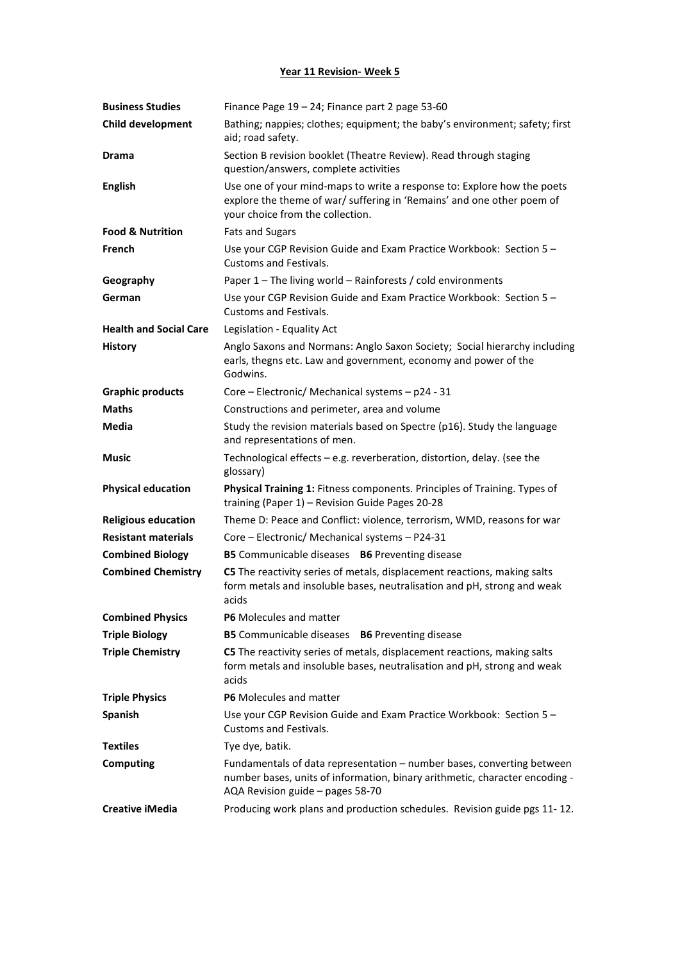| <b>Business Studies</b>       | Finance Page 19 - 24; Finance part 2 page 53-60                                                                                                                                           |
|-------------------------------|-------------------------------------------------------------------------------------------------------------------------------------------------------------------------------------------|
| <b>Child development</b>      | Bathing; nappies; clothes; equipment; the baby's environment; safety; first<br>aid; road safety.                                                                                          |
| <b>Drama</b>                  | Section B revision booklet (Theatre Review). Read through staging<br>question/answers, complete activities                                                                                |
| <b>English</b>                | Use one of your mind-maps to write a response to: Explore how the poets<br>explore the theme of war/ suffering in 'Remains' and one other poem of<br>your choice from the collection.     |
| <b>Food &amp; Nutrition</b>   | <b>Fats and Sugars</b>                                                                                                                                                                    |
| French                        | Use your CGP Revision Guide and Exam Practice Workbook: Section 5 -<br><b>Customs and Festivals.</b>                                                                                      |
| Geography                     | Paper 1 – The living world – Rainforests / cold environments                                                                                                                              |
| German                        | Use your CGP Revision Guide and Exam Practice Workbook: Section 5 -<br><b>Customs and Festivals.</b>                                                                                      |
| <b>Health and Social Care</b> | Legislation - Equality Act                                                                                                                                                                |
| <b>History</b>                | Anglo Saxons and Normans: Anglo Saxon Society; Social hierarchy including<br>earls, thegns etc. Law and government, economy and power of the<br>Godwins.                                  |
| <b>Graphic products</b>       | Core - Electronic/ Mechanical systems - p24 - 31                                                                                                                                          |
| <b>Maths</b>                  | Constructions and perimeter, area and volume                                                                                                                                              |
| <b>Media</b>                  | Study the revision materials based on Spectre (p16). Study the language<br>and representations of men.                                                                                    |
| <b>Music</b>                  | Technological effects - e.g. reverberation, distortion, delay. (see the<br>glossary)                                                                                                      |
| <b>Physical education</b>     | Physical Training 1: Fitness components. Principles of Training. Types of<br>training (Paper 1) - Revision Guide Pages 20-28                                                              |
| <b>Religious education</b>    | Theme D: Peace and Conflict: violence, terrorism, WMD, reasons for war                                                                                                                    |
| <b>Resistant materials</b>    | Core - Electronic/ Mechanical systems - P24-31                                                                                                                                            |
| <b>Combined Biology</b>       | B5 Communicable diseases B6 Preventing disease                                                                                                                                            |
| <b>Combined Chemistry</b>     | C5 The reactivity series of metals, displacement reactions, making salts<br>form metals and insoluble bases, neutralisation and pH, strong and weak<br>acids                              |
| <b>Combined Physics</b>       | P6 Molecules and matter                                                                                                                                                                   |
| <b>Triple Biology</b>         | B5 Communicable diseases B6 Preventing disease                                                                                                                                            |
| <b>Triple Chemistry</b>       | C5 The reactivity series of metals, displacement reactions, making salts<br>form metals and insoluble bases, neutralisation and pH, strong and weak<br>acids                              |
| <b>Triple Physics</b>         | <b>P6</b> Molecules and matter                                                                                                                                                            |
| Spanish                       | Use your CGP Revision Guide and Exam Practice Workbook: Section 5 -<br>Customs and Festivals.                                                                                             |
| <b>Textiles</b>               | Tye dye, batik.                                                                                                                                                                           |
| <b>Computing</b>              | Fundamentals of data representation - number bases, converting between<br>number bases, units of information, binary arithmetic, character encoding -<br>AQA Revision guide - pages 58-70 |
| <b>Creative iMedia</b>        | Producing work plans and production schedules. Revision guide pgs 11-12.                                                                                                                  |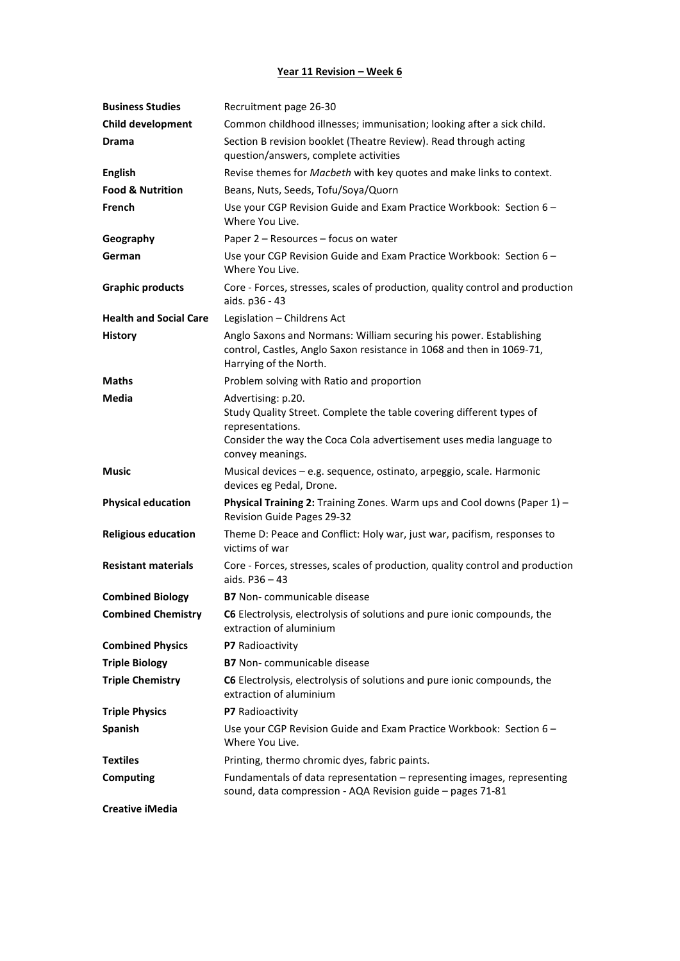| <b>Business Studies</b>       | Recruitment page 26-30                                                                                                                                                                |
|-------------------------------|---------------------------------------------------------------------------------------------------------------------------------------------------------------------------------------|
| <b>Child development</b>      | Common childhood illnesses; immunisation; looking after a sick child.                                                                                                                 |
| <b>Drama</b>                  | Section B revision booklet (Theatre Review). Read through acting<br>question/answers, complete activities                                                                             |
| <b>English</b>                | Revise themes for Macbeth with key quotes and make links to context.                                                                                                                  |
| <b>Food &amp; Nutrition</b>   | Beans, Nuts, Seeds, Tofu/Soya/Quorn                                                                                                                                                   |
| French                        | Use your CGP Revision Guide and Exam Practice Workbook: Section 6 -<br>Where You Live.                                                                                                |
| Geography                     | Paper 2 - Resources - focus on water                                                                                                                                                  |
| German                        | Use your CGP Revision Guide and Exam Practice Workbook: Section 6 -<br>Where You Live.                                                                                                |
| <b>Graphic products</b>       | Core - Forces, stresses, scales of production, quality control and production<br>aids. p36 - 43                                                                                       |
| <b>Health and Social Care</b> | Legislation - Childrens Act                                                                                                                                                           |
| <b>History</b>                | Anglo Saxons and Normans: William securing his power. Establishing<br>control, Castles, Anglo Saxon resistance in 1068 and then in 1069-71,<br>Harrying of the North.                 |
| <b>Maths</b>                  | Problem solving with Ratio and proportion                                                                                                                                             |
| <b>Media</b>                  | Advertising: p.20.<br>Study Quality Street. Complete the table covering different types of<br>representations.<br>Consider the way the Coca Cola advertisement uses media language to |
|                               | convey meanings.                                                                                                                                                                      |
| Music                         | Musical devices - e.g. sequence, ostinato, arpeggio, scale. Harmonic<br>devices eg Pedal, Drone.                                                                                      |
| <b>Physical education</b>     | <b>Physical Training 2:</b> Training Zones. Warm ups and Cool downs (Paper $1$ ) –<br>Revision Guide Pages 29-32                                                                      |
| <b>Religious education</b>    | Theme D: Peace and Conflict: Holy war, just war, pacifism, responses to<br>victims of war                                                                                             |
| <b>Resistant materials</b>    | Core - Forces, stresses, scales of production, quality control and production<br>aids. $P36 - 43$                                                                                     |
| <b>Combined Biology</b>       | <b>B7</b> Non-communicable disease                                                                                                                                                    |
| <b>Combined Chemistry</b>     | C6 Electrolysis, electrolysis of solutions and pure ionic compounds, the<br>extraction of aluminium                                                                                   |
| <b>Combined Physics</b>       | P7 Radioactivity                                                                                                                                                                      |
| <b>Triple Biology</b>         | <b>B7</b> Non-communicable disease                                                                                                                                                    |
| <b>Triple Chemistry</b>       | C6 Electrolysis, electrolysis of solutions and pure ionic compounds, the<br>extraction of aluminium                                                                                   |
| <b>Triple Physics</b>         | P7 Radioactivity                                                                                                                                                                      |
| Spanish                       | Use your CGP Revision Guide and Exam Practice Workbook: Section 6 -<br>Where You Live.                                                                                                |
| <b>Textiles</b>               | Printing, thermo chromic dyes, fabric paints.                                                                                                                                         |
|                               |                                                                                                                                                                                       |
| <b>Computing</b>              | Fundamentals of data representation - representing images, representing<br>sound, data compression - AQA Revision guide - pages 71-81                                                 |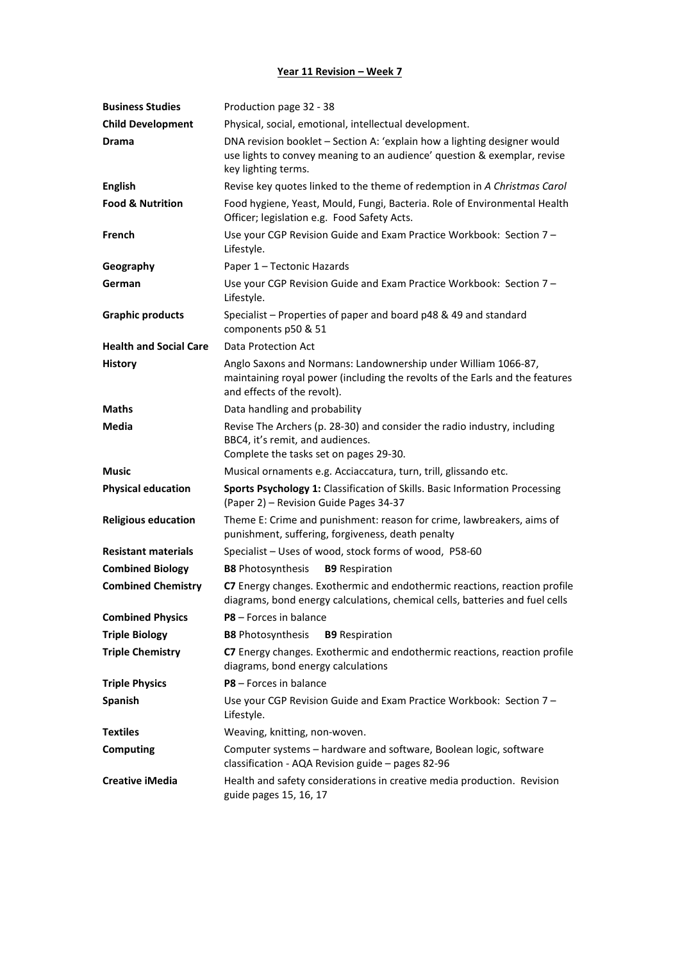| <b>Business Studies</b>       | Production page 32 - 38                                                                                                                                                       |
|-------------------------------|-------------------------------------------------------------------------------------------------------------------------------------------------------------------------------|
| <b>Child Development</b>      | Physical, social, emotional, intellectual development.                                                                                                                        |
| Drama                         | DNA revision booklet - Section A: 'explain how a lighting designer would<br>use lights to convey meaning to an audience' question & exemplar, revise<br>key lighting terms.   |
| <b>English</b>                | Revise key quotes linked to the theme of redemption in A Christmas Carol                                                                                                      |
| <b>Food &amp; Nutrition</b>   | Food hygiene, Yeast, Mould, Fungi, Bacteria. Role of Environmental Health<br>Officer; legislation e.g. Food Safety Acts.                                                      |
| French                        | Use your CGP Revision Guide and Exam Practice Workbook: Section 7 -<br>Lifestyle.                                                                                             |
| Geography                     | Paper 1 - Tectonic Hazards                                                                                                                                                    |
| German                        | Use your CGP Revision Guide and Exam Practice Workbook: Section 7 -<br>Lifestyle.                                                                                             |
| <b>Graphic products</b>       | Specialist – Properties of paper and board p48 & 49 and standard<br>components p50 & 51                                                                                       |
| <b>Health and Social Care</b> | Data Protection Act                                                                                                                                                           |
| <b>History</b>                | Anglo Saxons and Normans: Landownership under William 1066-87,<br>maintaining royal power (including the revolts of the Earls and the features<br>and effects of the revolt). |
| <b>Maths</b>                  | Data handling and probability                                                                                                                                                 |
| Media                         | Revise The Archers (p. 28-30) and consider the radio industry, including<br>BBC4, it's remit, and audiences.<br>Complete the tasks set on pages 29-30.                        |
| <b>Music</b>                  | Musical ornaments e.g. Acciaccatura, turn, trill, glissando etc.                                                                                                              |
| <b>Physical education</b>     | Sports Psychology 1: Classification of Skills. Basic Information Processing<br>(Paper 2) - Revision Guide Pages 34-37                                                         |
| <b>Religious education</b>    | Theme E: Crime and punishment: reason for crime, lawbreakers, aims of<br>punishment, suffering, forgiveness, death penalty                                                    |
| <b>Resistant materials</b>    | Specialist - Uses of wood, stock forms of wood, P58-60                                                                                                                        |
| <b>Combined Biology</b>       | <b>B8</b> Photosynthesis<br><b>B9</b> Respiration                                                                                                                             |
| <b>Combined Chemistry</b>     | C7 Energy changes. Exothermic and endothermic reactions, reaction profile<br>diagrams, bond energy calculations, chemical cells, batteries and fuel cells                     |
| <b>Combined Physics</b>       | P8 - Forces in balance                                                                                                                                                        |
| <b>Triple Biology</b>         | <b>B8</b> Photosynthesis<br><b>B9</b> Respiration                                                                                                                             |
| <b>Triple Chemistry</b>       | C7 Energy changes. Exothermic and endothermic reactions, reaction profile<br>diagrams, bond energy calculations                                                               |
| <b>Triple Physics</b>         | P8 - Forces in balance                                                                                                                                                        |
| Spanish                       | Use your CGP Revision Guide and Exam Practice Workbook: Section 7 -<br>Lifestyle.                                                                                             |
| <b>Textiles</b>               | Weaving, knitting, non-woven.                                                                                                                                                 |
| <b>Computing</b>              | Computer systems - hardware and software, Boolean logic, software<br>classification - AQA Revision guide - pages 82-96                                                        |
| <b>Creative iMedia</b>        | Health and safety considerations in creative media production. Revision<br>guide pages 15, 16, 17                                                                             |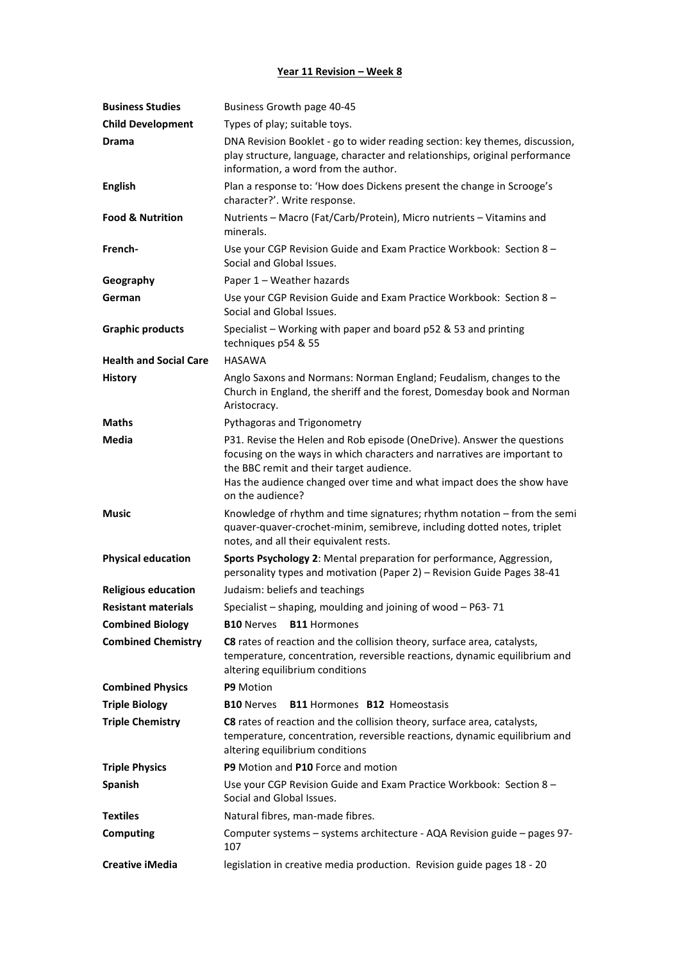| <b>Business Studies</b>       | Business Growth page 40-45                                                                                                                                                                                                                                                                  |
|-------------------------------|---------------------------------------------------------------------------------------------------------------------------------------------------------------------------------------------------------------------------------------------------------------------------------------------|
| <b>Child Development</b>      | Types of play; suitable toys.                                                                                                                                                                                                                                                               |
| <b>Drama</b>                  | DNA Revision Booklet - go to wider reading section: key themes, discussion,<br>play structure, language, character and relationships, original performance<br>information, a word from the author.                                                                                          |
| <b>English</b>                | Plan a response to: 'How does Dickens present the change in Scrooge's<br>character?'. Write response.                                                                                                                                                                                       |
| <b>Food &amp; Nutrition</b>   | Nutrients - Macro (Fat/Carb/Protein), Micro nutrients - Vitamins and<br>minerals.                                                                                                                                                                                                           |
| French-                       | Use your CGP Revision Guide and Exam Practice Workbook: Section 8 -<br>Social and Global Issues.                                                                                                                                                                                            |
| Geography                     | Paper 1 - Weather hazards                                                                                                                                                                                                                                                                   |
| German                        | Use your CGP Revision Guide and Exam Practice Workbook: Section 8 -<br>Social and Global Issues.                                                                                                                                                                                            |
| <b>Graphic products</b>       | Specialist - Working with paper and board p52 & 53 and printing<br>techniques p54 & 55                                                                                                                                                                                                      |
| <b>Health and Social Care</b> | <b>HASAWA</b>                                                                                                                                                                                                                                                                               |
| <b>History</b>                | Anglo Saxons and Normans: Norman England; Feudalism, changes to the<br>Church in England, the sheriff and the forest, Domesday book and Norman<br>Aristocracy.                                                                                                                              |
| <b>Maths</b>                  | Pythagoras and Trigonometry                                                                                                                                                                                                                                                                 |
| <b>Media</b>                  | P31. Revise the Helen and Rob episode (OneDrive). Answer the questions<br>focusing on the ways in which characters and narratives are important to<br>the BBC remit and their target audience.<br>Has the audience changed over time and what impact does the show have<br>on the audience? |
| <b>Music</b>                  | Knowledge of rhythm and time signatures; rhythm notation - from the semi<br>quaver-quaver-crochet-minim, semibreve, including dotted notes, triplet<br>notes, and all their equivalent rests.                                                                                               |
| <b>Physical education</b>     | Sports Psychology 2: Mental preparation for performance, Aggression,<br>personality types and motivation (Paper 2) - Revision Guide Pages 38-41                                                                                                                                             |
| <b>Religious education</b>    | Judaism: beliefs and teachings                                                                                                                                                                                                                                                              |
| <b>Resistant materials</b>    | Specialist - shaping, moulding and joining of wood - P63-71                                                                                                                                                                                                                                 |
| <b>Combined Biology</b>       | <b>B10</b> Nerves<br><b>B11 Hormones</b>                                                                                                                                                                                                                                                    |
| <b>Combined Chemistry</b>     | C8 rates of reaction and the collision theory, surface area, catalysts,<br>temperature, concentration, reversible reactions, dynamic equilibrium and<br>altering equilibrium conditions                                                                                                     |
| <b>Combined Physics</b>       | <b>P9</b> Motion                                                                                                                                                                                                                                                                            |
| <b>Triple Biology</b>         | <b>B11 Hormones B12 Homeostasis</b><br><b>B10</b> Nerves                                                                                                                                                                                                                                    |
| <b>Triple Chemistry</b>       | C8 rates of reaction and the collision theory, surface area, catalysts,<br>temperature, concentration, reversible reactions, dynamic equilibrium and<br>altering equilibrium conditions                                                                                                     |
| <b>Triple Physics</b>         | P9 Motion and P10 Force and motion                                                                                                                                                                                                                                                          |
| Spanish                       | Use your CGP Revision Guide and Exam Practice Workbook: Section 8 -<br>Social and Global Issues.                                                                                                                                                                                            |
| <b>Textiles</b>               | Natural fibres, man-made fibres.                                                                                                                                                                                                                                                            |
| <b>Computing</b>              | Computer systems - systems architecture - AQA Revision guide - pages 97-<br>107                                                                                                                                                                                                             |
| <b>Creative iMedia</b>        | legislation in creative media production. Revision guide pages 18 - 20                                                                                                                                                                                                                      |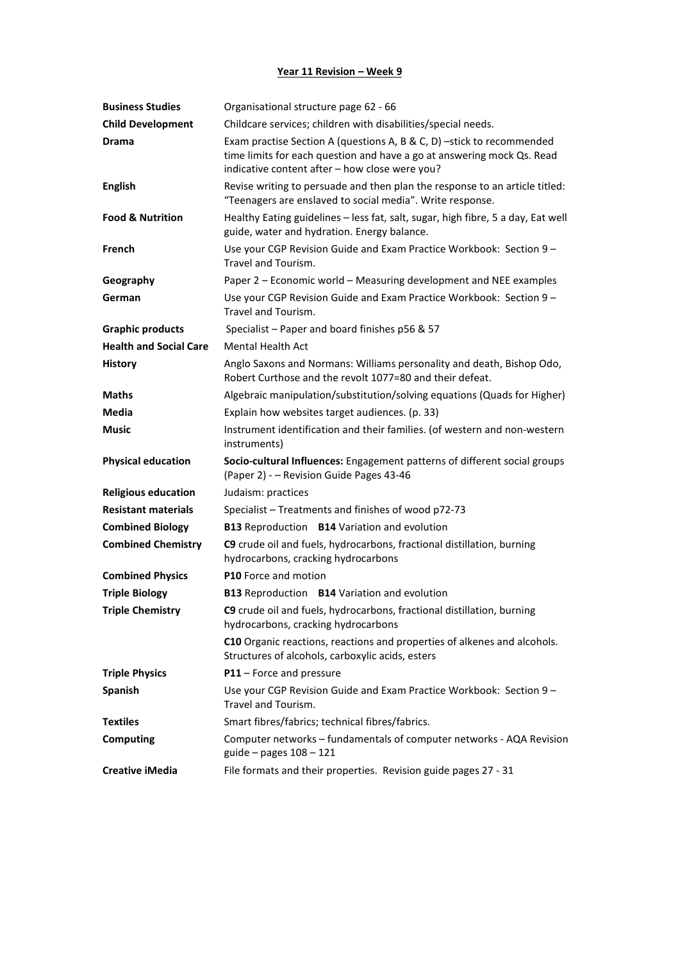| <b>Business Studies</b>       | Organisational structure page 62 - 66                                                                                                                                                             |
|-------------------------------|---------------------------------------------------------------------------------------------------------------------------------------------------------------------------------------------------|
| <b>Child Development</b>      | Childcare services; children with disabilities/special needs.                                                                                                                                     |
| <b>Drama</b>                  | Exam practise Section A (questions A, B & C, D) -stick to recommended<br>time limits for each question and have a go at answering mock Qs. Read<br>indicative content after - how close were you? |
| <b>English</b>                | Revise writing to persuade and then plan the response to an article titled:<br>"Teenagers are enslaved to social media". Write response.                                                          |
| <b>Food &amp; Nutrition</b>   | Healthy Eating guidelines - less fat, salt, sugar, high fibre, 5 a day, Eat well<br>guide, water and hydration. Energy balance.                                                                   |
| French                        | Use your CGP Revision Guide and Exam Practice Workbook: Section 9 -<br>Travel and Tourism.                                                                                                        |
| Geography                     | Paper 2 – Economic world – Measuring development and NEE examples                                                                                                                                 |
| German                        | Use your CGP Revision Guide and Exam Practice Workbook: Section 9 -<br>Travel and Tourism.                                                                                                        |
| <b>Graphic products</b>       | Specialist - Paper and board finishes p56 & 57                                                                                                                                                    |
| <b>Health and Social Care</b> | Mental Health Act                                                                                                                                                                                 |
| <b>History</b>                | Anglo Saxons and Normans: Williams personality and death, Bishop Odo,<br>Robert Curthose and the revolt 1077=80 and their defeat.                                                                 |
| <b>Maths</b>                  | Algebraic manipulation/substitution/solving equations (Quads for Higher)                                                                                                                          |
| <b>Media</b>                  | Explain how websites target audiences. (p. 33)                                                                                                                                                    |
| <b>Music</b>                  | Instrument identification and their families. (of western and non-western<br>instruments)                                                                                                         |
| <b>Physical education</b>     | Socio-cultural Influences: Engagement patterns of different social groups<br>(Paper 2) - - Revision Guide Pages 43-46                                                                             |
| <b>Religious education</b>    | Judaism: practices                                                                                                                                                                                |
| <b>Resistant materials</b>    | Specialist - Treatments and finishes of wood p72-73                                                                                                                                               |
| <b>Combined Biology</b>       | <b>B13</b> Reproduction <b>B14</b> Variation and evolution                                                                                                                                        |
| <b>Combined Chemistry</b>     | C9 crude oil and fuels, hydrocarbons, fractional distillation, burning<br>hydrocarbons, cracking hydrocarbons                                                                                     |
| <b>Combined Physics</b>       | P10 Force and motion                                                                                                                                                                              |
| <b>Triple Biology</b>         | <b>B13</b> Reproduction <b>B14</b> Variation and evolution                                                                                                                                        |
| <b>Triple Chemistry</b>       | C9 crude oil and fuels, hydrocarbons, fractional distillation, burning<br>hydrocarbons, cracking hydrocarbons                                                                                     |
|                               | C10 Organic reactions, reactions and properties of alkenes and alcohols.<br>Structures of alcohols, carboxylic acids, esters                                                                      |
| <b>Triple Physics</b>         | P11 - Force and pressure                                                                                                                                                                          |
| Spanish                       | Use your CGP Revision Guide and Exam Practice Workbook: Section 9 -<br>Travel and Tourism.                                                                                                        |
| <b>Textiles</b>               | Smart fibres/fabrics; technical fibres/fabrics.                                                                                                                                                   |
| <b>Computing</b>              | Computer networks - fundamentals of computer networks - AQA Revision<br>guide - pages 108 - 121                                                                                                   |
| <b>Creative iMedia</b>        | File formats and their properties. Revision guide pages 27 - 31                                                                                                                                   |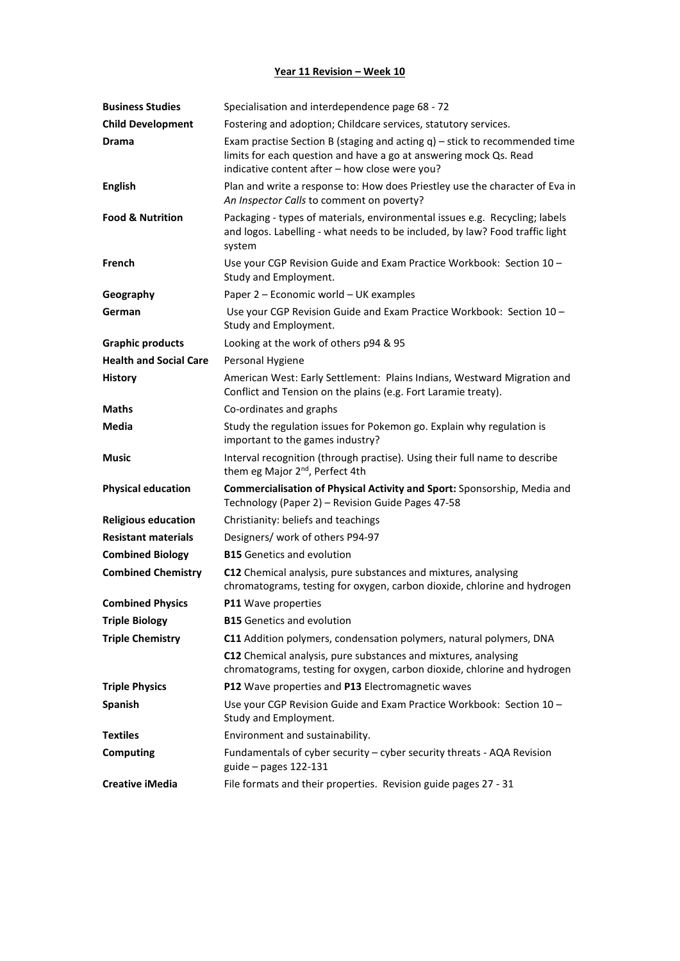| <b>Business Studies</b>       | Specialisation and interdependence page 68 - 72                                                                                                                                                      |
|-------------------------------|------------------------------------------------------------------------------------------------------------------------------------------------------------------------------------------------------|
| <b>Child Development</b>      | Fostering and adoption; Childcare services, statutory services.                                                                                                                                      |
| <b>Drama</b>                  | Exam practise Section B (staging and acting $q$ ) – stick to recommended time<br>limits for each question and have a go at answering mock Qs. Read<br>indicative content after - how close were you? |
| <b>English</b>                | Plan and write a response to: How does Priestley use the character of Eva in<br>An Inspector Calls to comment on poverty?                                                                            |
| <b>Food &amp; Nutrition</b>   | Packaging - types of materials, environmental issues e.g. Recycling; labels<br>and logos. Labelling - what needs to be included, by law? Food traffic light<br>system                                |
| French                        | Use your CGP Revision Guide and Exam Practice Workbook: Section 10 -<br>Study and Employment.                                                                                                        |
| Geography                     | Paper 2 – Economic world – UK examples                                                                                                                                                               |
| German                        | Use your CGP Revision Guide and Exam Practice Workbook: Section 10 -<br>Study and Employment.                                                                                                        |
| <b>Graphic products</b>       | Looking at the work of others p94 & 95                                                                                                                                                               |
| <b>Health and Social Care</b> | Personal Hygiene                                                                                                                                                                                     |
| <b>History</b>                | American West: Early Settlement: Plains Indians, Westward Migration and<br>Conflict and Tension on the plains (e.g. Fort Laramie treaty).                                                            |
| <b>Maths</b>                  | Co-ordinates and graphs                                                                                                                                                                              |
| <b>Media</b>                  | Study the regulation issues for Pokemon go. Explain why regulation is<br>important to the games industry?                                                                                            |
| <b>Music</b>                  | Interval recognition (through practise). Using their full name to describe<br>them eg Major 2 <sup>nd</sup> , Perfect 4th                                                                            |
| <b>Physical education</b>     | Commercialisation of Physical Activity and Sport: Sponsorship, Media and<br>Technology (Paper 2) - Revision Guide Pages 47-58                                                                        |
| <b>Religious education</b>    | Christianity: beliefs and teachings                                                                                                                                                                  |
| <b>Resistant materials</b>    | Designers/ work of others P94-97                                                                                                                                                                     |
| <b>Combined Biology</b>       | <b>B15</b> Genetics and evolution                                                                                                                                                                    |
| <b>Combined Chemistry</b>     | C12 Chemical analysis, pure substances and mixtures, analysing<br>chromatograms, testing for oxygen, carbon dioxide, chlorine and hydrogen                                                           |
| <b>Combined Physics</b>       | P11 Wave properties                                                                                                                                                                                  |
| <b>Triple Biology</b>         | <b>B15</b> Genetics and evolution                                                                                                                                                                    |
| <b>Triple Chemistry</b>       | C11 Addition polymers, condensation polymers, natural polymers, DNA                                                                                                                                  |
|                               | C12 Chemical analysis, pure substances and mixtures, analysing<br>chromatograms, testing for oxygen, carbon dioxide, chlorine and hydrogen                                                           |
| <b>Triple Physics</b>         | P12 Wave properties and P13 Electromagnetic waves                                                                                                                                                    |
| Spanish                       | Use your CGP Revision Guide and Exam Practice Workbook: Section 10 -<br>Study and Employment.                                                                                                        |
| <b>Textiles</b>               | Environment and sustainability.                                                                                                                                                                      |
| <b>Computing</b>              | Fundamentals of cyber security - cyber security threats - AQA Revision<br>guide $-$ pages 122-131                                                                                                    |
| <b>Creative iMedia</b>        | File formats and their properties. Revision guide pages 27 - 31                                                                                                                                      |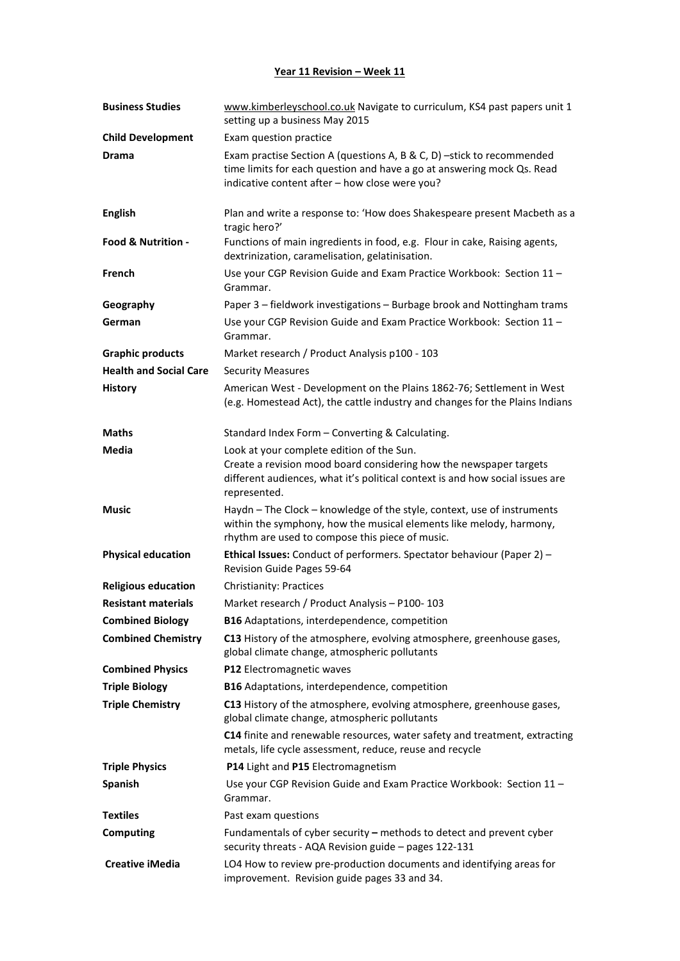| <b>Business Studies</b>       | www.kimberleyschool.co.uk Navigate to curriculum, KS4 past papers unit 1<br>setting up a business May 2015                                                                                                       |
|-------------------------------|------------------------------------------------------------------------------------------------------------------------------------------------------------------------------------------------------------------|
| <b>Child Development</b>      | Exam question practice                                                                                                                                                                                           |
| <b>Drama</b>                  | Exam practise Section A (questions A, B & C, D) -stick to recommended<br>time limits for each question and have a go at answering mock Qs. Read<br>indicative content after - how close were you?                |
| <b>English</b>                | Plan and write a response to: 'How does Shakespeare present Macbeth as a<br>tragic hero?'                                                                                                                        |
| Food & Nutrition -            | Functions of main ingredients in food, e.g. Flour in cake, Raising agents,<br>dextrinization, caramelisation, gelatinisation.                                                                                    |
| French                        | Use your CGP Revision Guide and Exam Practice Workbook: Section 11 -<br>Grammar.                                                                                                                                 |
| Geography                     | Paper 3 - fieldwork investigations - Burbage brook and Nottingham trams                                                                                                                                          |
| German                        | Use your CGP Revision Guide and Exam Practice Workbook: Section 11 -<br>Grammar.                                                                                                                                 |
| <b>Graphic products</b>       | Market research / Product Analysis p100 - 103                                                                                                                                                                    |
| <b>Health and Social Care</b> | <b>Security Measures</b>                                                                                                                                                                                         |
| <b>History</b>                | American West - Development on the Plains 1862-76; Settlement in West<br>(e.g. Homestead Act), the cattle industry and changes for the Plains Indians                                                            |
| <b>Maths</b>                  | Standard Index Form - Converting & Calculating.                                                                                                                                                                  |
| Media                         | Look at your complete edition of the Sun.<br>Create a revision mood board considering how the newspaper targets<br>different audiences, what it's political context is and how social issues are<br>represented. |
| <b>Music</b>                  | Haydn - The Clock - knowledge of the style, context, use of instruments<br>within the symphony, how the musical elements like melody, harmony,<br>rhythm are used to compose this piece of music.                |
| <b>Physical education</b>     | Ethical Issues: Conduct of performers. Spectator behaviour (Paper 2) -<br>Revision Guide Pages 59-64                                                                                                             |
| <b>Religious education</b>    | <b>Christianity: Practices</b>                                                                                                                                                                                   |
| <b>Resistant materials</b>    | Market research / Product Analysis - P100-103                                                                                                                                                                    |
| <b>Combined Biology</b>       | <b>B16</b> Adaptations, interdependence, competition                                                                                                                                                             |
| <b>Combined Chemistry</b>     | C13 History of the atmosphere, evolving atmosphere, greenhouse gases,<br>global climate change, atmospheric pollutants                                                                                           |
| <b>Combined Physics</b>       | P12 Electromagnetic waves                                                                                                                                                                                        |
| <b>Triple Biology</b>         | <b>B16</b> Adaptations, interdependence, competition                                                                                                                                                             |
| <b>Triple Chemistry</b>       | C13 History of the atmosphere, evolving atmosphere, greenhouse gases,<br>global climate change, atmospheric pollutants                                                                                           |
|                               | C14 finite and renewable resources, water safety and treatment, extracting<br>metals, life cycle assessment, reduce, reuse and recycle                                                                           |
| <b>Triple Physics</b>         | P14 Light and P15 Electromagnetism                                                                                                                                                                               |
| Spanish                       | Use your CGP Revision Guide and Exam Practice Workbook: Section 11 -<br>Grammar.                                                                                                                                 |
| <b>Textiles</b>               | Past exam questions                                                                                                                                                                                              |
| <b>Computing</b>              | Fundamentals of cyber security $-$ methods to detect and prevent cyber<br>security threats - AQA Revision guide - pages 122-131                                                                                  |
| <b>Creative iMedia</b>        | LO4 How to review pre-production documents and identifying areas for<br>improvement. Revision guide pages 33 and 34.                                                                                             |